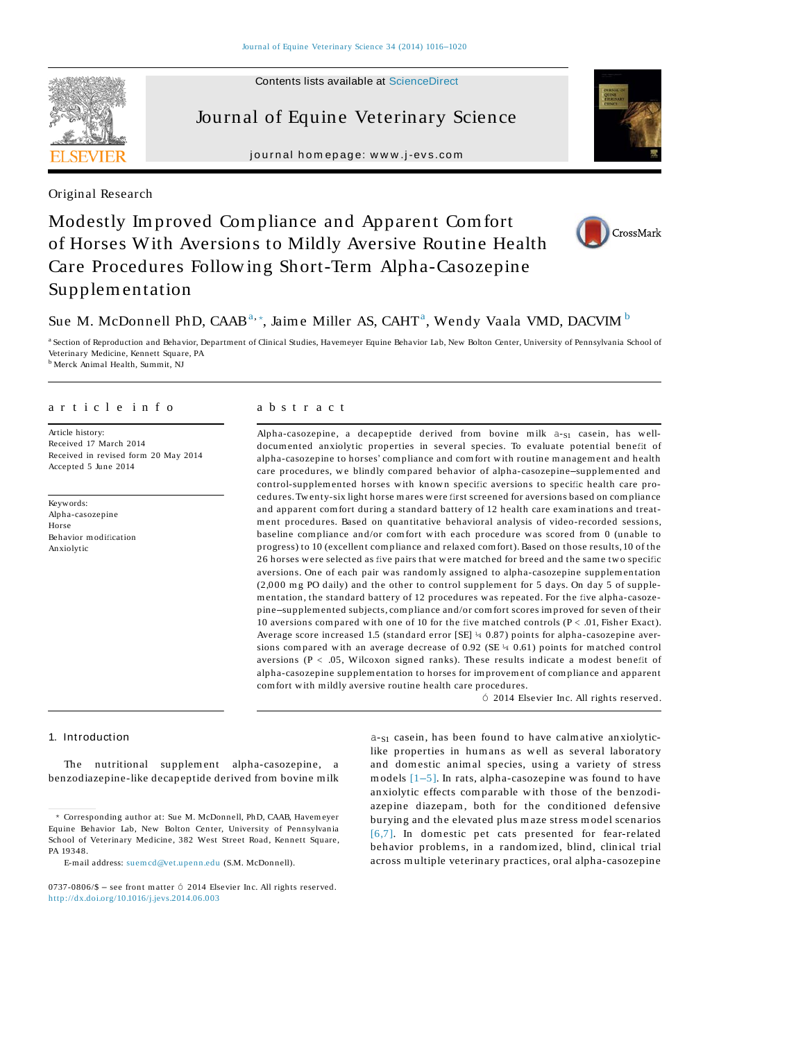Contents lists available at ScienceDirect



Journal of Equine Veterinary Science

Original Research



CrossMark

journal hom epage: www.j-evs.com

Modestly Improved Compliance and Apparent Comfort of Horses With Aversions to Mildly Aversive Routine Health Care Procedures Following Short-Term Alpha-Casozepine Su pplem entation

# Sue M. McDonnell PhD, CAAB $^{\mathrm{a},\star}$ , Jaime Miller AS, CAHT $^{\mathrm{a}}$ , Wendy Vaala VMD, DACVIM  $^{\mathrm{b}}$

a Section of Reproduction and Behavior, Department of Clinical Studies, Havemeyer Equine Behavior Lab, New Bolton Center, University of Pennsylvania School of Veterinary Medicine, Kennett Square, PA <sup>b</sup> Merck Animal Health, Summit, NJ

# ar t icl e in f o

Article history: Received 17 March 2014 Received in revised form 20 May 2014 Accepted 5 June 2014

Keywords: Alpha-casozepine Horse Behavior m odification An xiolytic

## abst r act

Alpha-casozepine, a decapeptide derived from bovine milk a-S1 casein, has welldocum ented anxiolytic properties in several species. To evaluate potential benefit of alpha-casozepine to horses' com pliance an d com fort with routine m anagem ent and health care procedures, we blindly compared behavior of alpha-casozepine-supplemented and control-supplemented horses with known specific aversions to specific health care procedu res. Tw enty-six light h orse m ares w ere first screened for aversions based on com plian ce and apparent com fort during a standard battery of 12 health care examinations and treatment procedures. Based on quantitative behavioral analysis of video-recorded sessions, baseline compliance and/or comfort with each procedure was scored from 0 (unable to progress) to 10 (excellent compliance and relaxed comfort). Based on those results, 10 of the 26 horses were selected as five pairs that were matched for breed and the same two specific aversions. One of each pair was randomly assigned to alpha-casozepine supplementation (2,000 mg PO daily) and the other to control supplement for 5 days. On day 5 of supplementation, the standard battery of 12 procedures was repeated. For the five alpha-casozepine–supplemented subjects, compliance and/or com fort scores improved for seven of their 10 aversions compared with one of 10 for the five matched controls ( $P < .01$ , Fisher Exact). Average score increased 1.5 (standard error [SE]  $\frac{1}{2}$  0.87) points for alpha-casozepine aversions compared with an average decrease of 0.92 (SE  $\frac{1}{4}$  0.61) points for matched control aversions ( $P < .05$ , Wilcoxon signed ranks). These results indicate a modest benefit of alpha-casozepine supplementation to horses for improvement of compliance and apparent comfort with mildly aversive routine health care procedures.

Ó 2014 Elsevier Inc. All rights reserved.

# 1. Int roduction

The nutritional supplement alpha-casozepine, a benzodiazepine-like decapeptide derived from bovine m ilk a-S1 casein, has been found to have calm ative an xiolyticlike properties in humans as well as several laboratory and domestic animal species, using a variety of stress models  $[1-5]$ . In rats, alpha-casozepine was found to have anxiolytic effects com parable with those of the benzodiazepine diazepam, both for the conditioned defensive burying and the elevated plus m aze stress m odel scenarios [6,7]. In domestic pet cats presented for fear-related behavior problems, in a randomized, blind, clinical trial across multiple veterinary practices, oral alpha-casozepine

<sup>\*</sup> Corresponding auth or at: Sue M. McDon nell, PhD, CAAB, Havem eyer Equine Behavior Lab, New Bolton Center, University of Pennsylvania Sch ool of Veterinary Medicine, 382 West Street Road, Ken nett Square, PA 19348.

E-mail a ddress: suem cd@vet.upen n.edu (S.M. McDon nell).

<sup>0737-0806/\$</sup> – see front m atter Ó 2014 Elsevier Inc. All rights reserved. http://dx.doi.org/10.1016/j.jevs.2014.06.003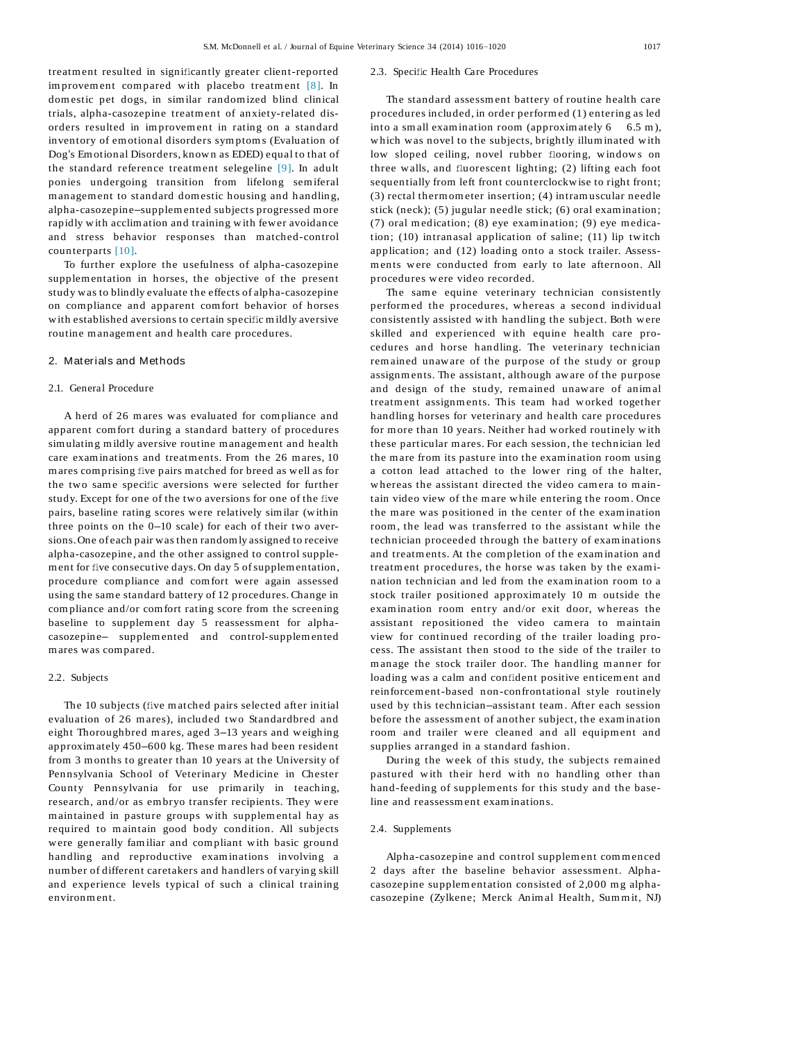treatment resulted in significantly greater client-reported im provement compared with placebo treatment  $[8]$ . In dom estic pet dogs, in similar randomized blind clinical trials, alpha-casozepine treatment of anxiety-related disorders resulted in improvement in rating on a standard inventory of em otional disorders sym ptom s (Evaluation of Dog's Emotional Disorders, known as EDED) equal to that of the standard reference treatment selegeline [9]. In adult ponies undergoing transition from lifelong semiferal m anagem ent to standard dom estic housing and handling, alpha-casozepine–supplem ented subjects progressed m ore rapidly with acclim ation and training with fewer avoidance and stress behavior responses than matched-control counterparts [10].

To further explore the usefulness of alpha-casozepine supplementation in horses, the objective of the present study was to blin dly evaluate the effects of alpha-casozepine on compliance and apparent comfort behavior of horses with established aversions to certain specific mildly aversive routine m anagem ent and health care procedures.

# 2. Materials and Methods

# 2.1. General Procedure

A herd of 26 m ares was evaluated for com pliance and apparent com fort during a standard battery of procedures simulating mildly aversive routine management and health care examinations and treatments. From the 26 mares, 10 mares comprising five pairs matched for breed as well as for the two same specific aversions were selected for further study. Except for one of the two aversions for one of the five pairs, baseline rating scores were relatively similar (within three points on the  $0-10$  scale) for each of their two aversions.One of each pair was then randomly assigned to receive alpha-casozepine, and the other assigned to control supplem ent for five con secutive days. On day 5 of supplem entation, procedure compliance and comfort were again assessed using the same standard battery of 12 procedures. Change in com pliance and/or com fort rating score from the screening baseline to supplement day 5 reassessment for alphacasozepin e– supplem ented and control-supplem ented m ares was compared.

# 2.2. Subjects

The 10 subjects (five m atched pairs selected after initial evaluation of 26 mares), included two Standardbred and eight Thoroughbred mares, aged 3–13 years and weighing approxim ately 450–600 kg. These m ares had been resident from 3 months to greater than 10 years at the University of Pennsylvania School of Veterinary Medicine in Chester County Pennsylvania for use primarily in teaching, research, and/or as embryo transfer recipients. They were maintained in pasture groups with supplemental hay as required to maintain good body condition. All subjects were generally familiar and compliant with basic ground handling and reproductive examinations involving a n um ber of different caretakers and h andlers of varyin g skill and experience levels typical of such a clinical training environm ent.

## 2.3. Specific Health Care Procedures

The standard assessment battery of routine health care procedures included, in order performed (1) entering as led into a sm all examination room (approxim ately 6 6.5 m ), which was novel to the subjects, brightly illuminated with low sloped ceiling, novel rubber flooring, windows on three walls, and fluorescent lighting; (2) lifting each foot sequentially from left front counterclockwise to right front; (3) rectal therm om eter in sertion; (4) intram uscular needle stick (neck); (5) jugular needle stick; (6) oral examination; (7) oral medication; (8) eye examination; (9) eye medication; (10) intranasal application of saline; (11) lip twitch application; and (12) loading onto a stock trailer. Assessments were conducted from early to late afternoon. All procedures w ere video recorded.

The same equine veterinary technician consistently performed the procedures, whereas a second individual consistently assisted with handling the subject. Both were skilled and experienced with equine health care procedures and horse handling. The veterinary technician rem ained unaware of the purpose of the study or group assignments. The assistant, although aw are of the purpose and design of the study, rem ained unaware of anim al treatment assignments. This team had worked together handling horses for veterinary and health care procedures for m ore than 10 years. Neither had w orked routinely with these particular mares. For each session, the technician led the mare from its pasture into the examination room using a cotton lead attached to the lower ring of the halter, whereas the assistant directed the video camera to maintain video view of the mare while entering the room. Once the m are was positioned in the center of the examination room, the lead was transferred to the assistant while the technician proceeded through the battery of examinations and treatments. At the completion of the examination and treatm ent procedures, the horse was taken by the examination technician and led from the examination room to a stock trailer positioned approximately 10 m outside the examination room entry and/or exit door, whereas the assistant repositioned the video camera to maintain view for continued recording of the trailer loading process. The assistant then stood to the side of the trailer to manage the stock trailer door. The handling manner for loading was a calm and confident positive enticement and rein forcem ent -based n on -con frontational style routinely used by this technician–assistant team . After each session before the assessm ent of an other subject, the exam ination room and trailer were cleaned and all equipment and supplies arranged in a standard fashion.

During the week of this study, the subjects remained pastured with their herd with no handling other than hand-feeding of supplements for this study and the baseline and reassessment examinations.

# 2.4. Supplements

Alpha-casozepine and control supplement commenced 2 days after the baseline behavior assessment. Alphacasozepine supplementation consisted of 2,000 mg alphacasozepine (Zylkene; Merck Anim al Health, Sum m it, NJ)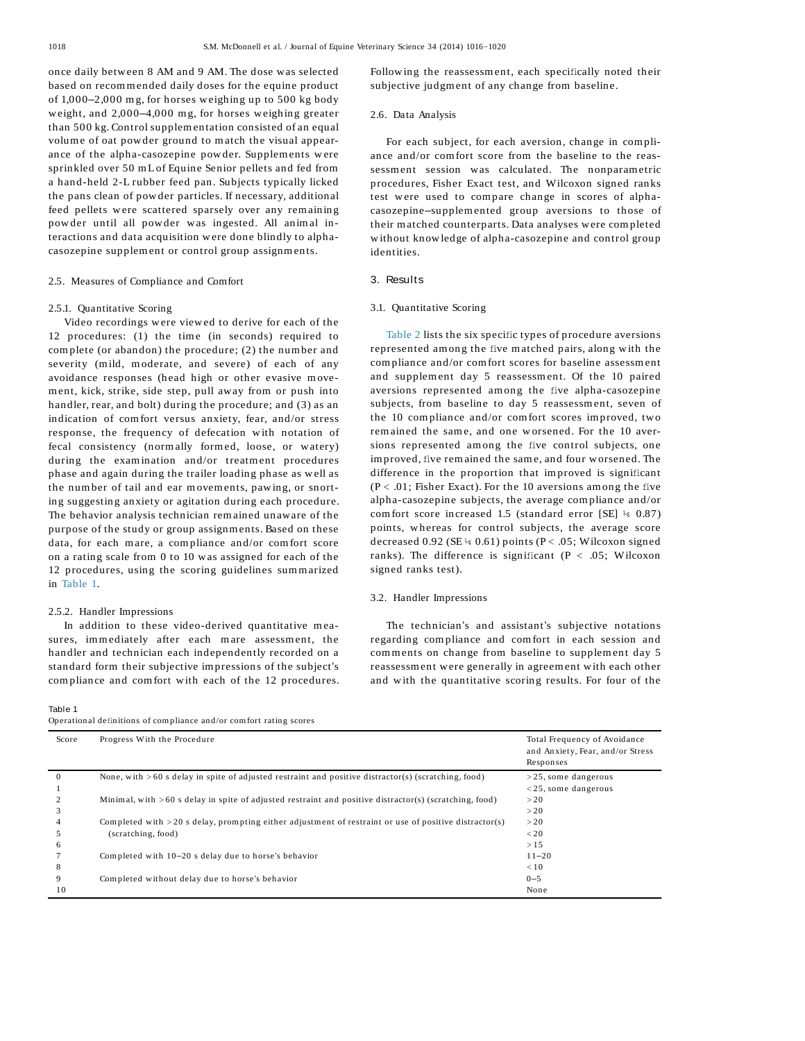once daily betw een 8 AM and 9 AM. The dose w as selected based on recommended daily doses for the equine product of  $1,000-2,000$  mg, for horses weighing up to 500 kg body weight, and  $2,000-4,000$  mg, for horses weighing greater than 500 kg. Control supplementation consisted of an equal volum e of oat pow der ground to m atch the visual appearance of the alpha-casozepine powder. Supplements were sprinkled over 50 mLof Equine Senior pellets and fed from a hand-held 2-L rubber feed pan. Subjects typically licked the pans clean of powder particles. If necessary, additional feed pellets were scattered sparsely over any remaining pow der until all pow der was ingested. All anim al in teractions and data acquisition w ere done blindly to alphacasozepine supplement or control group assignments.

#### 2.5. Measures of Compliance and Comfort

## 2.5.1. Quantitative Scoring

Video recordings were viewed to derive for each of the 12 procedures: (1) the time (in seconds) required to complete (or abandon) the procedure; (2) the number and severity (mild, moderate, and severe) of each of any avoidance responses (head high or other evasive movem ent, kick, strike, side step, pull away from or push into handler, rear, and bolt) during the procedure; and (3) as an indication of comfort versus anxiety, fear, and/or stress respon se, the frequency of defecation with notation of fecal consistency (normally formed, loose, or watery) during the examination and/or treatment procedures phase and again during the trailer loading phase as well as the number of tail and ear movements, pawing, or snorting suggesting anxiety or agitation during each procedure. The behavior analysis technician rem ained un aware of the purpose of the study or group assignments. Based on these data, for each mare, a compliance and/or comfort score on a rating scale from 0 to 10 was assigned for each of the 12 procedures, using the scoring guidelines sum m arized in Table 1.

#### 2.5.2. Handler Impressions

In addition to these video-derived quantitative measures, immediately after each mare assessment, the handler and technician each independently recorded on a standard form their subjective impressions of the subject's compliance and comfort with each of the 12 procedures. Following the reassessment, each specifically noted their subjective judgment of any change from baseline.

#### 2.6. Data Analysis

For each subject, for each aversion, change in compliance and/or comfort score from the baseline to the reassessment session was calculated. The nonparametric procedures, Fisher Exact test, and Wilcoxon signed ranks test were used to compare change in scores of alphacasozepine–supplem ented group aversions to those of their matched counterparts. Data analyses were completed without knowledge of alpha-casozepine and control group identities.

#### 3. Result s

## 3.1. Quantitative Scoring

Table 2 lists the six specific types of procedure aversions represented among the five m atched pairs, along with the compliance and/or comfort scores for baseline assessment and supplement day 5 reassessment. Of the 10 paired aversions represented am ong the five alpha-casozepine subjects, from baseline to day 5 reassessment, seven of the 10 compliance and/or comfort scores improved, two remained the same, and one worsened. For the 10 aversions represented am ong the five control subjects, one im proved, five remained the same, and four worsened. The difference in the proportion that improved is significant  $(P < .01$ ; Fisher Exact). For the 10 aversions among the five alpha-casozepine subjects, the average com pliance and/or com fort score increased 1.5 (standard error [SE]  $\frac{1}{4}$  0.87) points, w hereas for control subjects, the average score decreased 0.92 (SE $4$  0.61) points (P < .05; Wilcoxon signed ranks). The difference is significant ( $P < .05$ ; Wilcoxon signed ranks test).

#### 3.2. Handler Impressions

The technician's and assistant's subjective notations regarding compliance and comfort in each session and comments on change from baseline to supplement day 5 reassessm ent w ere generally in agreem ent with each other and with the quantitative scoring results. For four of the

Table 1

Operational definitions of com pliance an d/or com fort rating scores

| Score    | Progress With the Procedure                                                                              | Total Frequency of Avoidance<br>and Anxiety, Fear, and/or Stress<br>Responses |
|----------|----------------------------------------------------------------------------------------------------------|-------------------------------------------------------------------------------|
| $\theta$ | None, with $>60$ s delay in spite of adjusted restraint and positive distractor(s) (scratching, food)    | $>$ 25, some dangerous                                                        |
|          |                                                                                                          | $\langle 25, \text{some dangerous} \rangle$                                   |
|          | Minimal, with $>60$ s delay in spite of adjusted restraint and positive distractor(s) (scratching, food) | >20                                                                           |
| 3        |                                                                                                          | >20                                                                           |
|          | Completed with $>$ 20 s delay, prompting either adjustment of restraint or use of positive distractor(s) | >20                                                                           |
|          | (scratching, food)                                                                                       | $\leq$ 20                                                                     |
| 6        |                                                                                                          | >15                                                                           |
|          | Completed with 10–20 s delay due to horse's behavior                                                     | $11 - 20$                                                                     |
| 8        |                                                                                                          | < 10                                                                          |
| 9        | Completed without delay due to horse's behavior                                                          | $0 - 5$                                                                       |
| 10       |                                                                                                          | None                                                                          |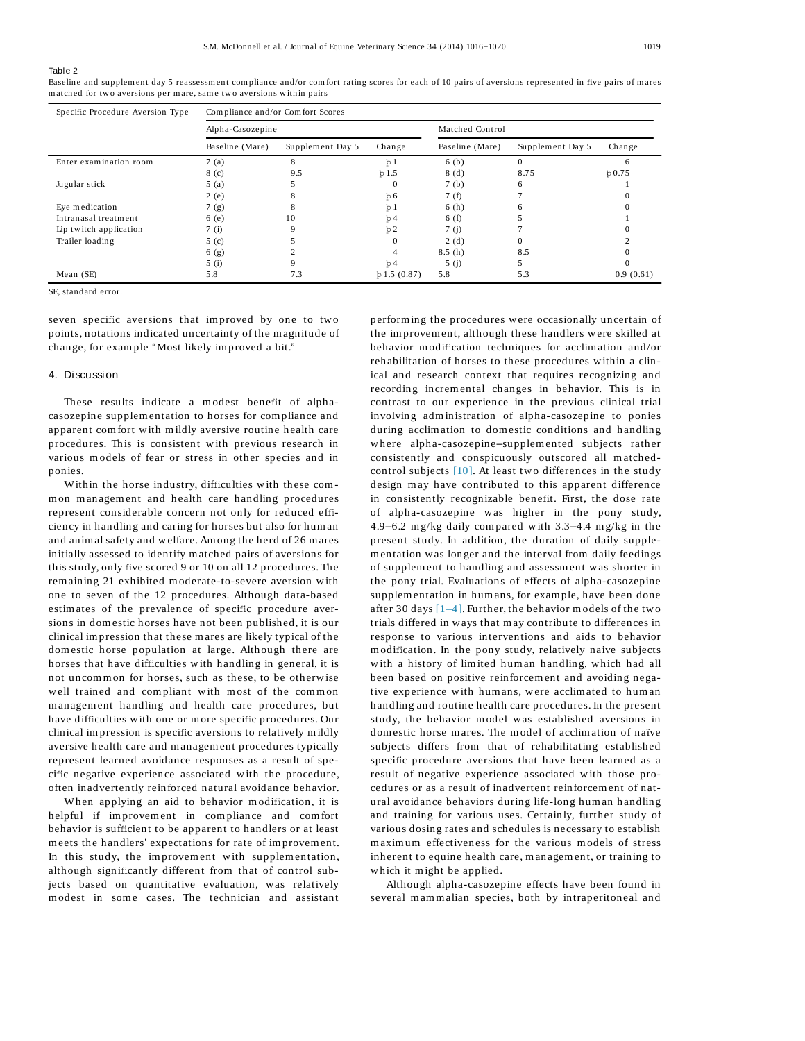#### Table 2

Baseline and supplement day 5 reassessment compliance and/or comfort rating scores for each of 10 pairs of aversions represented in five pairs of mares matched for two aversions per mare, same two aversions within pairs

| Specific Procedure Aversion Type | Compliance and/or Comfort Scores |                  |                 |                 |                  |           |  |
|----------------------------------|----------------------------------|------------------|-----------------|-----------------|------------------|-----------|--|
|                                  | Alpha-Casozepine                 |                  |                 | Matched Control |                  |           |  |
|                                  | Baseline (Mare)                  | Supplement Day 5 | Change          | Baseline (Mare) | Supplement Day 5 | Change    |  |
| Enter examination room           | 7(a)                             | 8                | b <sub>1</sub>  | 6(b)            |                  |           |  |
|                                  | 8 <sub>(c)</sub>                 | 9.5              | b1.5            | 8(d)            | 8.75             | b 0.75    |  |
| Jugular stick                    | 5(a)                             |                  | 0               | 7(b)            | 6                |           |  |
|                                  | 2(e)                             | 8                | b6              | 7(f)            |                  |           |  |
| Eye medication                   | 7(g)                             |                  | $\mathfrak{b}1$ | 6(h)            | <sub>6</sub>     |           |  |
| Intranasal treatment             | 6(e)                             | 10               | b4              | 6(f)            |                  |           |  |
| Lip twitch application           | 7(i)                             | 9                | b2              | 7(i)            |                  |           |  |
| Trailer loading                  | 5(c)                             |                  | 0               | 2(d)            | 0                |           |  |
|                                  | 6(g)                             |                  | 4               | 8.5(h)          | 8.5              |           |  |
|                                  | 5(i)                             |                  | b4              | 5(j)            |                  |           |  |
| Mean (SE)                        | 5.8                              | 7.3              | b1.5(0.87)      | 5.8             | 5.3              | 0.9(0.61) |  |

SE, standard error.

seven specific aversions that improved by one to two points, notations indicated uncertainty of the m agnitude of change, for example "Most likely improved a bit."

## 4. Di scussion

These results indicate a modest benefit of alphacasozepine supplementation to horses for compliance and apparent com fort with m ildly aversive routine health care procedures. This is consistent with previous research in various m odels of fear or stress in other species and in ponies.

Within the horse industry, difficulties with these com m on m anagem ent and health care handling procedures represent considerable concern not only for reduced efficien cy in handlin g and carin g for horses but also for hum an an d anim al safety and w elfare. Am ong the herd of 26 m ares initially assessed to identify matched pairs of aversions for this study, only five scored 9 or 10 on all 12 procedures. The remaining 21 exhibited moderate-to-severe aversion with one to seven of the 12 procedures. Although data-based estimates of the prevalence of specific procedure aversions in domestic horses have not been published, it is our clinical impression that these mares are likely typical of the domestic horse population at large. Although there are horses that have difficulties with handling in general, it is not uncommon for horses, such as these, to be otherwise well trained and compliant with most of the common m anagem ent handling and health care procedures, but have difficulties with one or more specific procedures. Our clinical im pression is specific aversions to relatively mildly aversive health care and management procedures typically represent learned avoidance responses as a result of specific negative experience associated with the procedure, often inadvertently reinforced natural avoidance behavior.

When applying an aid to behavior modification, it is helpful if improvement in compliance and comfort behavior is sufficient to be apparent to handlers or at least meets the handlers' expectations for rate of improvement. In this study, the improvement with supplementation, although significantly different from that of control subjects based on quantitative evaluation, was relatively modest in some cases. The technician and assistant

performing the procedures were occasionally uncertain of the improvement, although these handlers were skilled at behavior m odification techniques for acclim ation and/or rehabilitation of horses to these procedures within a clinical and research context that requires recognizing and recording incremental changes in behavior. This is in contrast to our experience in the previous clinical trial involving administration of alpha-casozepine to ponies during acclimation to domestic conditions and handling w here alpha-casozepine–supplem ented subjects rather consistently and conspicuously outscored all matchedcontrol subjects [10]. At least two differences in the study design m ay have contributed to this apparent difference in consistently recognizable benefit. First, the dose rate of alpha-casozepine was higher in the pony study, 4.9–6.2 m g/kg daily com pared with 3.3–4.4 m g/kg in the present study. In addition, the duration of daily supplementation was longer and the interval from daily feedings of supplement to handling and assessment was shorter in the pony trial. Evaluations of effects of alpha-casozepine supplementation in humans, for example, have been done after 30 days  $[1-4]$ . Further, the behavior models of the two trials differed in ways that may contribute to differences in response to various interventions and aids to behavior modification. In the pony study, relatively naive subjects with a history of limited human handling, which had all been based on positive reinforcement and avoiding negative experience with humans, were acclimated to human handling and routine health care procedures. In the present study, the behavior model was established aversions in dom estic horse m ares. The m odel of acclim ation of naïve subjects differs from that of rehabilitating established specific procedure aversions that have been learned as a result of negative experience associated with those procedures or as a result of inadvertent reinforcement of natural avoidance behaviors during life-long human handling and training for various uses. Certainly, further study of various dosing rates and schedules is necessary to establish maximum effectiveness for the various models of stress inherent to equine health care, management, or training to which it might be applied.

Although alpha-casozepine effects have been found in several mammalian species, both by intraperitoneal and